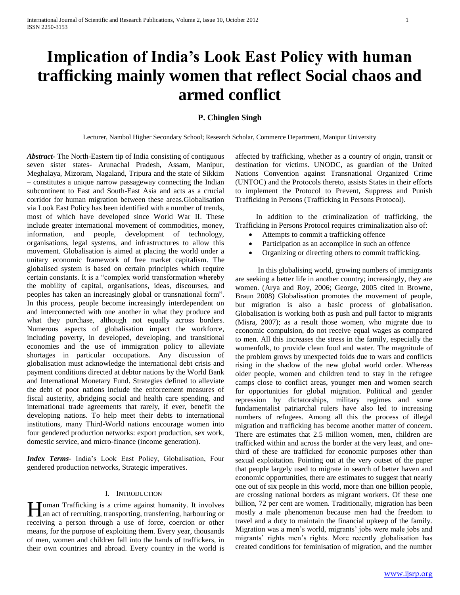# **Implication of India's Look East Policy with human trafficking mainly women that reflect Social chaos and armed conflict**

# **P. Chinglen Singh**

Lecturer, Nambol Higher Secondary School; Research Scholar, Commerce Department, Manipur University

*Abstract***-** The North-Eastern tip of India consisting of contiguous seven sister states- Arunachal Pradesh, Assam, Manipur, Meghalaya, Mizoram, Nagaland, Tripura and the state of Sikkim – constitutes a unique narrow passageway connecting the Indian subcontinent to East and South-East Asia and acts as a crucial corridor for human migration between these areas.Globalisation via Look East Policy has been identified with a number of trends, most of which have developed since World War II. These include greater international movement of commodities, money, information, and people, development of technology, organisations, legal systems, and infrastructures to allow this movement. Globalisation is aimed at placing the world under a unitary economic framework of free market capitalism. The globalised system is based on certain principles which require certain constants. It is a "complex world transformation whereby the mobility of capital, organisations, ideas, discourses, and peoples has taken an increasingly global or transnational form". In this process, people become increasingly interdependent on and interconnected with one another in what they produce and what they purchase, although not equally across borders. Numerous aspects of globalisation impact the workforce, including poverty, in developed, developing, and transitional economies and the use of immigration policy to alleviate shortages in particular occupations. Any discussion of globalisation must acknowledge the international debt crisis and payment conditions directed at debtor nations by the World Bank and International Monetary Fund. Strategies defined to alleviate the debt of poor nations include the enforcement measures of fiscal austerity, abridging social and health care spending, and international trade agreements that rarely, if ever, benefit the developing nations. To help meet their debts to international institutions, many Third-World nations encourage women into four gendered production networks: export production, sex work, domestic service, and micro-finance (income generation).

*Index Terms*- India's Look East Policy, Globalisation, Four gendered production networks, Strategic imperatives.

# I. INTRODUCTION

uman Trafficking is a crime against humanity. It involves Human Trafficking is a crime against humanity. It involves an act of recruiting, transporting, transferring, harbouring or receiving a person through a use of force, coercion or other means, for the purpose of exploiting them. Every year, thousands of men, women and children fall into the hands of traffickers, in their own countries and abroad. Every country in the world is

affected by trafficking, whether as a country of origin, transit or destination for victims. UNODC, as guardian of the United Nations Convention against Transnational Organized Crime (UNTOC) and the Protocols thereto, assists States in their efforts to implement the Protocol to Prevent, Suppress and Punish Trafficking in Persons (Trafficking in Persons Protocol).

 In addition to the criminalization of trafficking, the Trafficking in Persons Protocol requires criminalization also of:

- Attempts to commit a trafficking offence
- Participation as an accomplice in such an offence
- Organizing or directing others to commit trafficking.

 In this globalising world, growing numbers of immigrants are seeking a better life in another country; increasingly, they are women. (Arya and Roy, 2006; George, 2005 cited in Browne, Braun 2008) Globalisation promotes the movement of people, but migration is also a basic process of globalisation. Globalisation is working both as push and pull factor to migrants (Misra, 2007); as a result those women, who migrate due to economic compulsion, do not receive equal wages as compared to men. All this increases the stress in the family, especially the womenfolk, to provide clean food and water. The magnitude of the problem grows by unexpected folds due to wars and conflicts rising in the shadow of the new global world order. Whereas older people, women and children tend to stay in the refugee camps close to conflict areas, younger men and women search for opportunities for global migration. Political and gender repression by dictatorships, military regimes and some fundamentalist patriarchal rulers have also led to increasing numbers of refugees. Among all this the process of illegal migration and trafficking has become another matter of concern. There are estimates that 2.5 million women, men, children are trafficked within and across the border at the very least, and onethird of these are trafficked for economic purposes other than sexual exploitation. Pointing out at the very outset of the paper that people largely used to migrate in search of better haven and economic opportunities, there are estimates to suggest that nearly one out of six people in this world, more than one billion people, are crossing national borders as migrant workers. Of these one billion, 72 per cent are women. Traditionally, migration has been mostly a male phenomenon because men had the freedom to travel and a duty to maintain the financial upkeep of the family. Migration was a men's world, migrants' jobs were male jobs and migrants' rights men's rights. More recently globalisation has created conditions for feminisation of migration, and the number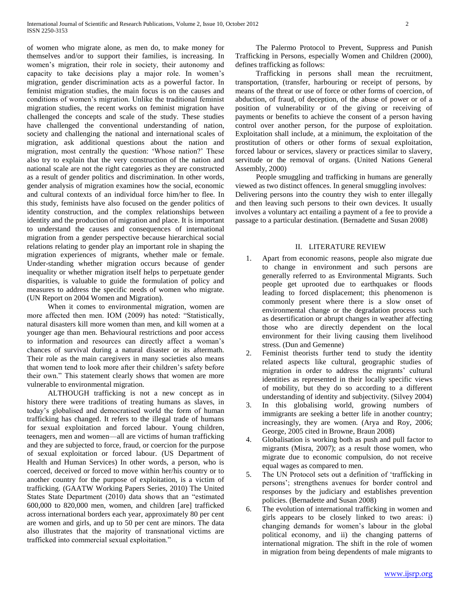of women who migrate alone, as men do, to make money for themselves and/or to support their families, is increasing. In women's migration, their role in society, their autonomy and capacity to take decisions play a major role. In women's migration, gender discrimination acts as a powerful factor. In feminist migration studies, the main focus is on the causes and conditions of women's migration. Unlike the traditional feminist migration studies, the recent works on feminist migration have challenged the concepts and scale of the study. These studies have challenged the conventional understanding of nation, society and challenging the national and international scales of migration, ask additional questions about the nation and migration, most centrally the question: 'Whose nation?' These also try to explain that the very construction of the nation and national scale are not the right categories as they are constructed as a result of gender politics and discrimination. In other words, gender analysis of migration examines how the social, economic and cultural contexts of an individual force him/her to flee. In this study, feminists have also focused on the gender politics of identity construction, and the complex relationships between identity and the production of migration and place. It is important to understand the causes and consequences of international migration from a gender perspective because hierarchical social relations relating to gender play an important role in shaping the migration experiences of migrants, whether male or female. Under-standing whether migration occurs because of gender inequality or whether migration itself helps to perpetuate gender disparities, is valuable to guide the formulation of policy and measures to address the specific needs of women who migrate. (UN Report on 2004 Women and Migration).

 When it comes to environmental migration, women are more affected then men. IOM (2009) has noted: "Statistically, natural disasters kill more women than men, and kill women at a younger age than men. Behavioural restrictions and poor access to information and resources can directly affect a woman's chances of survival during a natural disaster or its aftermath. Their role as the main caregivers in many societies also means that women tend to look more after their children's safety before their own." This statement clearly shows that women are more vulnerable to environmental migration.

 ALTHOUGH trafficking is not a new concept as in history there were traditions of treating humans as slaves, in today's globalised and democratised world the form of human trafficking has changed. It refers to the illegal trade of humans for sexual exploitation and forced labour. Young children, teenagers, men and women—all are victims of human trafficking and they are subjected to force, fraud, or coercion for the purpose of sexual exploitation or forced labour. (US Department of Health and Human Services) In other words, a person, who is coerced, deceived or forced to move within her/his country or to another country for the purpose of exploitation, is a victim of trafficking. (GAATW Working Papers Series, 2010) The United States State Department (2010) data shows that an "estimated 600,000 to 820,000 men, women, and children [are] trafficked across international borders each year, approximately 80 per cent are women and girls, and up to 50 per cent are minors. The data also illustrates that the majority of transnational victims are trafficked into commercial sexual exploitation."

 The Palermo Protocol to Prevent, Suppress and Punish Trafficking in Persons, especially Women and Children (2000), defines trafficking as follows:

 Trafficking in persons shall mean the recruitment, transportation, (transfer, harbouring or receipt of persons, by means of the threat or use of force or other forms of coercion, of abduction, of fraud, of deception, of the abuse of power or of a position of vulnerability or of the giving or receiving of payments or benefits to achieve the consent of a person having control over another person, for the purpose of exploitation. Exploitation shall include, at a minimum, the exploitation of the prostitution of others or other forms of sexual exploitation, forced labour or services, slavery or practices similar to slavery, servitude or the removal of organs. (United Nations General Assembly, 2000)

 People smuggling and trafficking in humans are generally viewed as two distinct offences. In general smuggling involves: Delivering persons into the country they wish to enter illegally and then leaving such persons to their own devices. It usually involves a voluntary act entailing a payment of a fee to provide a passage to a particular destination. (Bernadette and Susan 2008)

# II. LITERATURE REVIEW

- 1. Apart from economic reasons, people also migrate due to change in environment and such persons are generally referred to as Environmental Migrants. Such people get uprooted due to earthquakes or floods leading to forced displacement; this phenomenon is commonly present where there is a slow onset of environmental change or the degradation process such as desertification or abrupt changes in weather affecting those who are directly dependent on the local environment for their living causing them livelihood stress. (Dun and Gemenne)
- 2. Feminist theorists further tend to study the identity related aspects like cultural, geographic studies of migration in order to address the migrants' cultural identities as represented in their locally specific views of mobility, but they do so according to a different understanding of identity and subjectivity. (Silvey 2004)
- 3. In this globalising world, growing numbers of immigrants are seeking a better life in another country; increasingly, they are women. (Arya and Roy, 2006; George, 2005 cited in Browne, Braun 2008)
- 4. Globalisation is working both as push and pull factor to migrants (Misra, 2007); as a result those women, who migrate due to economic compulsion, do not receive equal wages as compared to men.
- 5. The UN Protocol sets out a definition of 'trafficking in persons'; strengthens avenues for border control and responses by the judiciary and establishes prevention policies. (Bernadette and Susan 2008)
- 6. The evolution of international trafficking in women and girls appears to be closely linked to two areas: i) changing demands for women's labour in the global political economy, and ii) the changing patterns of international migration. The shift in the role of women in migration from being dependents of male migrants to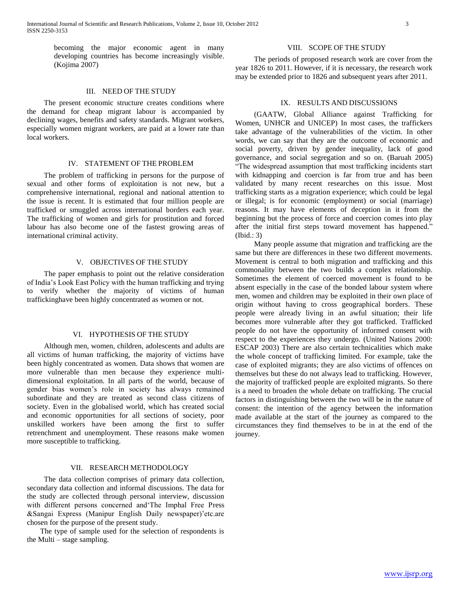becoming the major economic agent in many developing countries has become increasingly visible. (Kojima 2007)

## III. NEED OF THE STUDY

 The present economic structure creates conditions where the demand for cheap migrant labour is accompanied by declining wages, benefits and safety standards. Migrant workers, especially women migrant workers, are paid at a lower rate than local workers.

## IV. STATEMENT OF THE PROBLEM

 The problem of trafficking in persons for the purpose of sexual and other forms of exploitation is not new, but a comprehensive international, regional and national attention to the issue is recent. It is estimated that four million people are trafficked or smuggled across international borders each year. The trafficking of women and girls for prostitution and forced labour has also become one of the fastest growing areas of international criminal activity.

# V. OBJECTIVES OF THE STUDY

 The paper emphasis to point out the relative consideration of India's Look East Policy with the human trafficking and trying to verify whether the majority of victims of human traffickinghave been highly concentrated as women or not.

# VI. HYPOTHESIS OF THE STUDY

 Although men, women, children, adolescents and adults are all victims of human trafficking, the majority of victims have been highly concentrated as women. Data shows that women are more vulnerable than men because they experience multidimensional exploitation. In all parts of the world, because of gender bias women's role in society has always remained subordinate and they are treated as second class citizens of society. Even in the globalised world, which has created social and economic opportunities for all sections of society, poor unskilled workers have been among the first to suffer retrenchment and unemployment. These reasons make women more susceptible to trafficking.

# VII. RESEARCH METHODOLOGY

 The data collection comprises of primary data collection, secondary data collection and informal discussions. The data for the study are collected through personal interview, discussion with different persons concerned and The Imphal Free Press &Sangai Express (Manipur English Daily newspaper)'etc.are chosen for the purpose of the present study.

 The type of sample used for the selection of respondents is the Multi – stage sampling.

## VIII. SCOPE OF THE STUDY

 The periods of proposed research work are cover from the year 1826 to 2011. However, if it is necessary, the research work may be extended prior to 1826 and subsequent years after 2011.

#### IX. RESULTS AND DISCUSSIONS

 (GAATW, Global Alliance against Trafficking for Women, UNHCR and UNICEP) In most cases, the traffickers take advantage of the vulnerabilities of the victim. In other words, we can say that they are the outcome of economic and social poverty, driven by gender inequality, lack of good governance, and social segregation and so on. (Baruah 2005) ―The widespread assumption that most trafficking incidents start with kidnapping and coercion is far from true and has been validated by many recent researches on this issue. Most trafficking starts as a migration experience; which could be legal or illegal; is for economic (employment) or social (marriage) reasons. It may have elements of deception in it from the beginning but the process of force and coercion comes into play after the initial first steps toward movement has happened." (Ibid.: 3)

 Many people assume that migration and trafficking are the same but there are differences in these two different movements. Movement is central to both migration and trafficking and this commonality between the two builds a complex relationship. Sometimes the element of coerced movement is found to be absent especially in the case of the bonded labour system where men, women and children may be exploited in their own place of origin without having to cross geographical borders. These people were already living in an awful situation; their life becomes more vulnerable after they got trafficked. Trafficked people do not have the opportunity of informed consent with respect to the experiences they undergo. (United Nations 2000: ESCAP 2003) There are also certain technicalities which make the whole concept of trafficking limited. For example, take the case of exploited migrants; they are also victims of offences on themselves but these do not always lead to trafficking. However, the majority of trafficked people are exploited migrants. So there is a need to broaden the whole debate on trafficking. The crucial factors in distinguishing between the two will be in the nature of consent: the intention of the agency between the information made available at the start of the journey as compared to the circumstances they find themselves to be in at the end of the journey.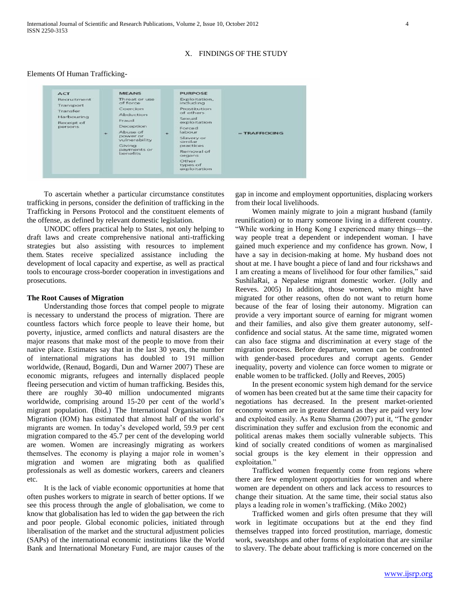# X. FINDINGS OF THE STUDY

## Elements Of Human Trafficking-



 To ascertain whether a particular circumstance constitutes trafficking in persons, consider the definition of trafficking in the Trafficking in Persons Protocol and the constituent elements of the offense, as defined by relevant domestic legislation.

 UNODC offers practical help to States, not only helping to draft laws and create comprehensive national anti-trafficking strategies but also assisting with resources to implement them. States receive specialized assistance including the development of local capacity and expertise, as well as practical tools to encourage cross-border cooperation in investigations and prosecutions.

## **The Root Causes of Migration**

 Understanding those forces that compel people to migrate is necessary to understand the process of migration. There are countless factors which force people to leave their home, but poverty, injustice, armed conflicts and natural disasters are the major reasons that make most of the people to move from their native place. Estimates say that in the last 30 years, the number of international migrations has doubled to 191 million worldwide, (Renaud, Bogardi, Dun and Warner 2007) These are economic migrants, refugees and internally displaced people fleeing persecution and victim of human trafficking. Besides this, there are roughly 30-40 million undocumented migrants worldwide, comprising around 15-20 per cent of the world's migrant population. (Ibid.) The International Organisation for Migration (IOM) has estimated that almost half of the world's migrants are women. In today's developed world, 59.9 per cent migration compared to the 45.7 per cent of the developing world are women. Women are increasingly migrating as workers themselves. The economy is playing a major role in women's migration and women are migrating both as qualified professionals as well as domestic workers, careers and cleaners etc.

 It is the lack of viable economic opportunities at home that often pushes workers to migrate in search of better options. If we see this process through the angle of globalisation, we come to know that globalisation has led to widen the gap between the rich and poor people. Global economic policies, initiated through liberalisation of the market and the structural adjustment policies (SAPs) of the international economic institutions like the World Bank and International Monetary Fund, are major causes of the

gap in income and employment opportunities, displacing workers from their local livelihoods.

 Women mainly migrate to join a migrant husband (family reunification) or to marry someone living in a different country. ―While working in Hong Kong I experienced many things—the way people treat a dependent or independent woman. I have gained much experience and my confidence has grown. Now, I have a say in decision-making at home. My husband does not shout at me. I have bought a piece of land and four rickshaws and I am creating a means of livelihood for four other families," said SushilaRai, a Nepalese migrant domestic worker. (Jolly and Reeves. 2005) In addition, those women, who might have migrated for other reasons, often do not want to return home because of the fear of losing their autonomy. Migration can provide a very important source of earning for migrant women and their families, and also give them greater autonomy, selfconfidence and social status. At the same time, migrated women can also face stigma and discrimination at every stage of the migration process. Before departure, women can be confronted with gender-based procedures and corrupt agents. Gender inequality, poverty and violence can force women to migrate or enable women to be trafficked. (Jolly and Reeves, 2005)

 In the present economic system high demand for the service of women has been created but at the same time their capacity for negotiations has decreased. In the present market-oriented economy women are in greater demand as they are paid very low and exploited easily. As Renu Sharma (2007) put it, "The gender discrimination they suffer and exclusion from the economic and political arenas makes them socially vulnerable subjects. This kind of socially created conditions of women as marginalised social groups is the key element in their oppression and exploitation."

 Trafficked women frequently come from regions where there are few employment opportunities for women and where women are dependent on others and lack access to resources to change their situation. At the same time, their social status also plays a leading role in women's trafficking. (Miko 2002)

 Trafficked women and girls often presume that they will work in legitimate occupations but at the end they find themselves trapped into forced prostitution, marriage, domestic work, sweatshops and other forms of exploitation that are similar to slavery. The debate about trafficking is more concerned on the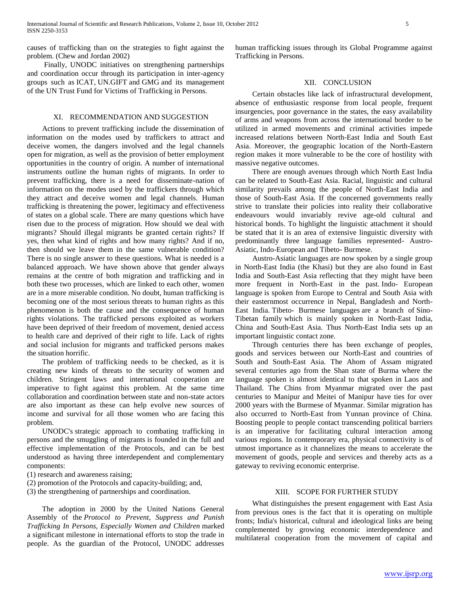causes of trafficking than on the strategies to fight against the problem. (Chew and Jordan 2002)

 Finally, UNODC initiatives on strengthening partnerships and coordination occur through its participation in inter-agency groups such as ICAT, UN.GIFT and GMG and its management of the UN Trust Fund for Victims of Trafficking in Persons.

# XI. RECOMMENDATION AND SUGGESTION

 Actions to prevent trafficking include the dissemination of information on the modes used by traffickers to attract and deceive women, the dangers involved and the legal channels open for migration, as well as the provision of better employment opportunities in the country of origin. A number of international instruments outline the human rights of migrants. In order to prevent trafficking, there is a need for disseminate-nation of information on the modes used by the traffickers through which they attract and deceive women and legal channels. Human trafficking is threatening the power, legitimacy and effectiveness of states on a global scale. There are many questions which have risen due to the process of migration. How should we deal with migrants? Should illegal migrants be granted certain rights? If yes, then what kind of rights and how many rights? And if no, then should we leave them in the same vulnerable condition? There is no single answer to these questions. What is needed is a balanced approach. We have shown above that gender always remains at the centre of both migration and trafficking and in both these two processes, which are linked to each other, women are in a more miserable condition. No doubt, human trafficking is becoming one of the most serious threats to human rights as this phenomenon is both the cause and the consequence of human rights violations. The trafficked persons exploited as workers have been deprived of their freedom of movement, denied access to health care and deprived of their right to life. Lack of rights and social inclusion for migrants and trafficked persons makes the situation horrific.

 The problem of trafficking needs to be checked, as it is creating new kinds of threats to the security of women and children. Stringent laws and international cooperation are imperative to fight against this problem. At the same time collaboration and coordination between state and non-state actors are also important as these can help evolve new sources of income and survival for all those women who are facing this problem.

 UNODC's strategic approach to combating trafficking in persons and the smuggling of migrants is founded in the full and effective implementation of the Protocols, and can be best understood as having three interdependent and complementary components:

- (1) research and awareness raising;
- (2) promotion of the Protocols and capacity-building; and,
- (3) the strengthening of partnerships and coordination.

 The adoption in 2000 by the United Nations General Assembly of the *Protocol to Prevent, Suppress and Punish Trafficking In Persons, Especially Women and Children* marked a significant milestone in international efforts to stop the trade in people. As the guardian of the Protocol, UNODC addresses

human trafficking issues through its Global Programme against Trafficking in Persons.

## XII. CONCLUSION

 Certain obstacles like lack of infrastructural development, absence of enthusiastic response from local people, frequent insurgencies, poor governance in the states, the easy availability of arms and weapons from across the international border to be utilized in armed movements and criminal activities impede increased relations between North-East India and South East Asia. Moreover, the geographic location of the North-Eastern region makes it more vulnerable to be the core of hostility with massive negative outcomes.

 There are enough avenues through which North East India can be related to South-East Asia. Racial, linguistic and cultural similarity prevails among the people of North-East India and those of South-East Asia. If the concerned governments really strive to translate their policies into reality their collaborative endeavours would invariably revive age-old cultural and historical bonds. To highlight the linguistic attachment it should be stated that it is an area of extensive linguistic diversity with predominantly three language families represented- Austro-Asiatic, Indo-European and Tibeto- Burmese.

 Austro-Asiatic languages are now spoken by a single group in North-East India (the Khasi) but they are also found in East India and South-East Asia reflecting that they might have been more frequent in North-East in the past. Indo- European language is spoken from Europe to Central and South Asia with their easternmost occurrence in Nepal, Bangladesh and North-East India. Tibeto- Burmese languages are a branch of Sino-Tibetan family which is mainly spoken in North-East India, China and South-East Asia. Thus North-East India sets up an important linguistic contact zone.

 Through centuries there has been exchange of peoples, goods and services between our North-East and countries of South and South-East Asia. The Ahom of Assam migrated several centuries ago from the Shan state of Burma where the language spoken is almost identical to that spoken in Laos and Thailand. The Chins from Myanmar migrated over the past centuries to Manipur and Meitei of Manipur have ties for over 2000 years with the Burmese of Myanmar. Similar migration has also occurred to North-East from Yunnan province of China. Boosting people to people contact transcending political barriers is an imperative for facilitating cultural interaction among various regions. In contemporary era, physical connectivity is of utmost importance as it channelizes the means to accelerate the movement of goods, people and services and thereby acts as a gateway to reviving economic enterprise.

# XIII. SCOPE FOR FURTHER STUDY

 What distinguishes the present engagement with East Asia from previous ones is the fact that it is operating on multiple fronts; India's historical, cultural and ideological links are being complemented by growing economic interdependence and multilateral cooperation from the movement of capital and